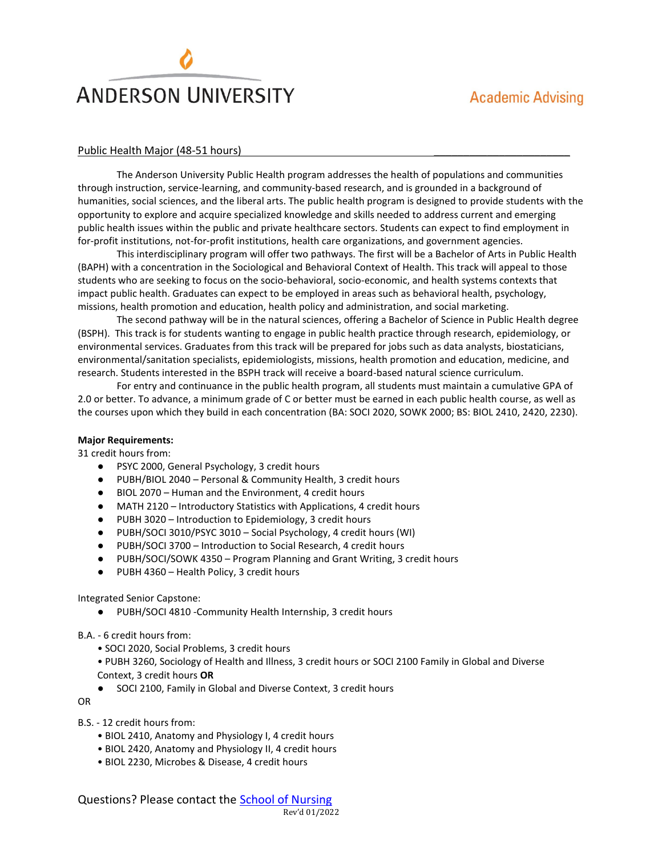# **ANDERSON UNIVERSITY**

## Public Health Major (48-51 hours)

The Anderson University Public Health program addresses the health of populations and communities through instruction, service-learning, and community-based research, and is grounded in a background of humanities, social sciences, and the liberal arts. The public health program is designed to provide students with the opportunity to explore and acquire specialized knowledge and skills needed to address current and emerging public health issues within the public and private healthcare sectors. Students can expect to find employment in for-profit institutions, not-for-profit institutions, health care organizations, and government agencies.

This interdisciplinary program will offer two pathways. The first will be a Bachelor of Arts in Public Health (BAPH) with a concentration in the Sociological and Behavioral Context of Health. This track will appeal to those students who are seeking to focus on the socio-behavioral, socio-economic, and health systems contexts that impact public health. Graduates can expect to be employed in areas such as behavioral health, psychology, missions, health promotion and education, health policy and administration, and social marketing.

The second pathway will be in the natural sciences, offering a Bachelor of Science in Public Health degree (BSPH). This track is for students wanting to engage in public health practice through research, epidemiology, or environmental services. Graduates from this track will be prepared for jobs such as data analysts, biostaticians, environmental/sanitation specialists, epidemiologists, missions, health promotion and education, medicine, and research. Students interested in the BSPH track will receive a board-based natural science curriculum.

For entry and continuance in the public health program, all students must maintain a cumulative GPA of 2.0 or better. To advance, a minimum grade of C or better must be earned in each public health course, as well as the courses upon which they build in each concentration (BA: SOCI 2020, SOWK 2000; BS: BIOL 2410, 2420, 2230).

## **Major Requirements:**

31 credit hours from:

- PSYC 2000, General Psychology, 3 credit hours
- PUBH/BIOL 2040 Personal & Community Health, 3 credit hours
- BIOL 2070 Human and the Environment, 4 credit hours
- MATH 2120 Introductory Statistics with Applications, 4 credit hours
- PUBH 3020 Introduction to Epidemiology, 3 credit hours
- PUBH/SOCI 3010/PSYC 3010 Social Psychology, 4 credit hours (WI)
- PUBH/SOCI 3700 Introduction to Social Research, 4 credit hours
- PUBH/SOCI/SOWK 4350 Program Planning and Grant Writing, 3 credit hours
- PUBH 4360 Health Policy, 3 credit hours

## Integrated Senior Capstone:

● PUBH/SOCI 4810 -Community Health Internship, 3 credit hours

## B.A. - 6 credit hours from:

- SOCI 2020, Social Problems, 3 credit hours
- PUBH 3260, Sociology of Health and Illness, 3 credit hours or SOCI 2100 Family in Global and Diverse Context, 3 credit hours **OR**
- SOCI 2100, Family in Global and Diverse Context, 3 credit hours

OR

- B.S. 12 credit hours from:
	- BIOL 2410, Anatomy and Physiology I, 4 credit hours
	- BIOL 2420, Anatomy and Physiology II, 4 credit hours
	- BIOL 2230, Microbes & Disease, 4 credit hours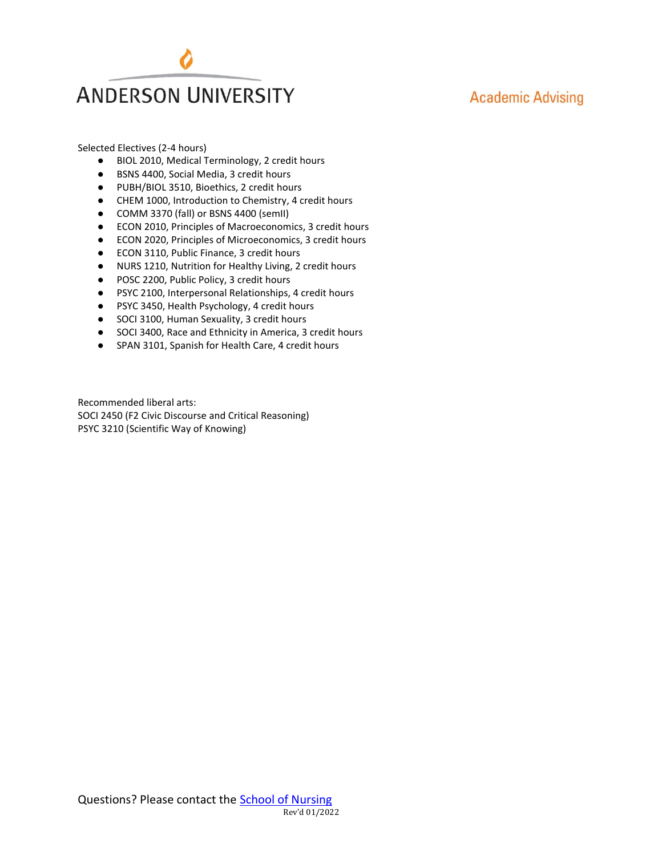

## **Academic Advising**

Selected Electives (2-4 hours)

- BIOL 2010, Medical Terminology, 2 credit hours
- BSNS 4400, Social Media, 3 credit hours
- PUBH/BIOL 3510, Bioethics, 2 credit hours
- CHEM 1000, Introduction to Chemistry, 4 credit hours
- COMM 3370 (fall) or BSNS 4400 (semII)
- ECON 2010, Principles of Macroeconomics, 3 credit hours
- ECON 2020, Principles of Microeconomics, 3 credit hours
- ECON 3110, Public Finance, 3 credit hours
- NURS 1210, Nutrition for Healthy Living, 2 credit hours
- POSC 2200, Public Policy, 3 credit hours
- PSYC 2100, Interpersonal Relationships, 4 credit hours
- PSYC 3450, Health Psychology, 4 credit hours
- SOCI 3100, Human Sexuality, 3 credit hours
- SOCI 3400, Race and Ethnicity in America, 3 credit hours
- SPAN 3101, Spanish for Health Care, 4 credit hours

Recommended liberal arts: SOCI 2450 (F2 Civic Discourse and Critical Reasoning) PSYC 3210 (Scientific Way of Knowing)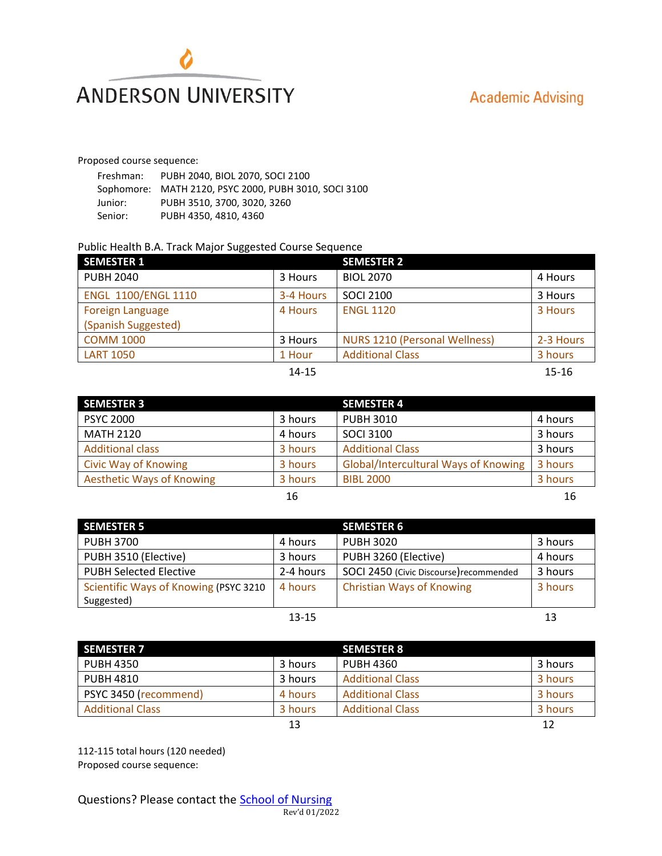

## **Academic Advising**

Proposed course sequence:

| Freshman: | PUBH 2040, BIOL 2070, SOCI 2100                       |
|-----------|-------------------------------------------------------|
|           | Sophomore: MATH 2120, PSYC 2000, PUBH 3010, SOCI 3100 |
| Junior:   | PUBH 3510, 3700, 3020, 3260                           |
| Senior:   | PUBH 4350, 4810, 4360                                 |

## Public Health B.A. Track Major Suggested Course Sequence

| <b>SEMESTER 1</b>          |           | <b>SEMESTER 2</b>                    |           |
|----------------------------|-----------|--------------------------------------|-----------|
| <b>PUBH 2040</b>           | 3 Hours   | <b>BIOL 2070</b>                     | 4 Hours   |
| <b>ENGL 1100/ENGL 1110</b> | 3-4 Hours | <b>SOCI 2100</b>                     | 3 Hours   |
| <b>Foreign Language</b>    | 4 Hours   | <b>ENGL 1120</b>                     | 3 Hours   |
| (Spanish Suggested)        |           |                                      |           |
| <b>COMM 1000</b>           | 3 Hours   | <b>NURS 1210 (Personal Wellness)</b> | 2-3 Hours |
| <b>LART 1050</b>           | 1 Hour    | <b>Additional Class</b>              | 3 hours   |
|                            | $14 - 15$ |                                      | $15 - 16$ |

|  |  | × | ۰. |  |
|--|--|---|----|--|
|  |  |   |    |  |

| <b>SEMESTER 3</b>                |         | <b>SEMESTER 4</b>                    |         |
|----------------------------------|---------|--------------------------------------|---------|
| <b>PSYC 2000</b>                 | 3 hours | <b>PUBH 3010</b>                     | 4 hours |
| <b>MATH 2120</b>                 | 4 hours | <b>SOCI 3100</b>                     | 3 hours |
| <b>Additional class</b>          | 3 hours | <b>Additional Class</b>              | 3 hours |
| <b>Civic Way of Knowing</b>      | 3 hours | Global/Intercultural Ways of Knowing | 3 hours |
| <b>Aesthetic Ways of Knowing</b> | 3 hours | <b>BIBL 2000</b>                     | 3 hours |
|                                  | 16      |                                      | 16      |

| <b>SEMESTER 5</b>                     |           | <b>SEMESTER 6</b>                       |         |
|---------------------------------------|-----------|-----------------------------------------|---------|
| <b>PUBH 3700</b>                      | 4 hours   | <b>PUBH 3020</b>                        | 3 hours |
| PUBH 3510 (Elective)                  | 3 hours   | PUBH 3260 (Elective)                    | 4 hours |
| <b>PUBH Selected Elective</b>         | 2-4 hours | SOCI 2450 (Civic Discourse) recommended | 3 hours |
| Scientific Ways of Knowing (PSYC 3210 | 4 hours   | <b>Christian Ways of Knowing</b>        | 3 hours |
| Suggested)                            |           |                                         |         |
|                                       | $13 - 15$ |                                         | 13      |

| <b>SEMESTER 7</b>       |         | <b>SEMESTER 8</b>       |         |
|-------------------------|---------|-------------------------|---------|
| <b>PUBH 4350</b>        | 3 hours | <b>PUBH 4360</b>        | 3 hours |
| <b>PUBH 4810</b>        | 3 hours | <b>Additional Class</b> | 3 hours |
| PSYC 3450 (recommend)   | 4 hours | <b>Additional Class</b> | 3 hours |
| <b>Additional Class</b> | 3 hours | <b>Additional Class</b> | 3 hours |
|                         | 13      |                         | 12      |

112-115 total hours (120 needed) Proposed course sequence: